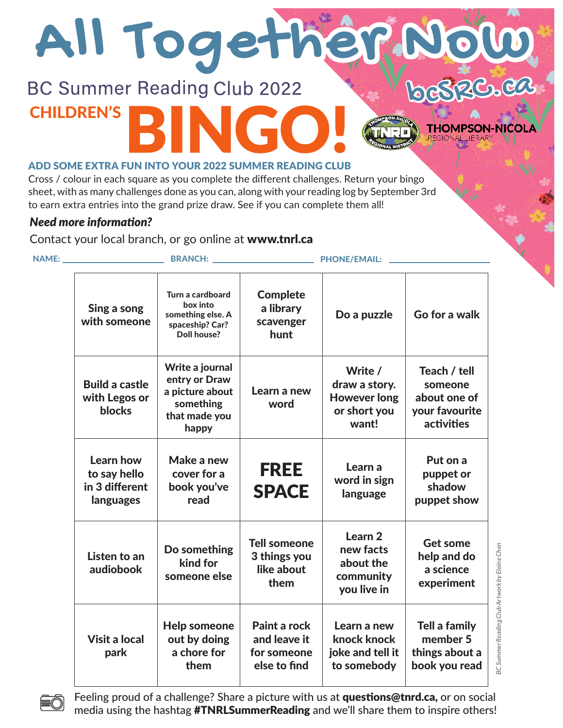# All Togeth **ZC.CA**

### **BC Summer Reading Club 2022** CHILDREN'S

#### ADD SOME EXTRA FUN INTO YOUR 2022 SUMMER READING CLUB

Cross / colour in each square as you complete the different challenges. Return your bingo sheet, with as many challenges done as you can, along with your reading log by September 3rd to earn extra entries into the grand prize draw. See if you can complete them all!

#### *Need more information?*

Contact your local branch, or go online at www.tnrl.ca

| <b>NAME:</b> |                                                          | <b>BRANCH:</b>                                                                             |                                                             | <b>PHONE/EMAIL:</b>                                                      |                                                                         |
|--------------|----------------------------------------------------------|--------------------------------------------------------------------------------------------|-------------------------------------------------------------|--------------------------------------------------------------------------|-------------------------------------------------------------------------|
|              | Sing a song<br>with someone                              | Turn a cardboard<br>box into<br>something else. A<br>spaceship? Car?<br><b>Doll house?</b> | <b>Complete</b><br>a library<br>scavenger<br>hunt           | Do a puzzle                                                              | Go for a walk                                                           |
|              | <b>Build a castle</b><br>with Legos or<br><b>blocks</b>  | Write a journal<br>entry or Draw<br>a picture about<br>something<br>that made you<br>happy | Learn a new<br>word                                         | Write /<br>draw a story.<br><b>However long</b><br>or short you<br>want! | Teach / tell<br>someone<br>about one of<br>your favourite<br>activities |
|              | Learn how<br>to say hello<br>in 3 different<br>languages | Make a new<br>cover for a<br>book you've<br>read                                           | <b>FREE</b><br><b>SPACE</b>                                 | Learn a<br>word in sign<br>language                                      | Put on a<br>puppet or<br>shadow<br>puppet show                          |
|              | Listen to an<br>audiobook                                | Do something<br>kind for<br>someone else                                                   | <b>Tell someone</b><br>3 things you<br>like about<br>them   | Learn <sub>2</sub><br>new facts<br>about the<br>community<br>you live in | Get some<br>help and do<br>a science<br>experiment                      |
|              | <b>Visit a local</b><br>park                             | <b>Help someone</b><br>out by doing<br>a chore for<br>them                                 | Paint a rock<br>and leave it<br>for someone<br>else to find | Learn a new<br>knock knock<br>joke and tell it<br>to somebody            | <b>Tell a family</b><br>member 5<br>things about a<br>book you read     |

BC Summer Reading Club Artwork by Elaine Cher *BC Summer Reading Club Artwork by Elaine Chen*

**THOMPSON-NICOLA** 



Feeling proud of a challenge? Share a picture with us at questions@tnrd.ca, or on social media using the hashtag **#TNRLSummerReading** and we'll share them to inspire others!